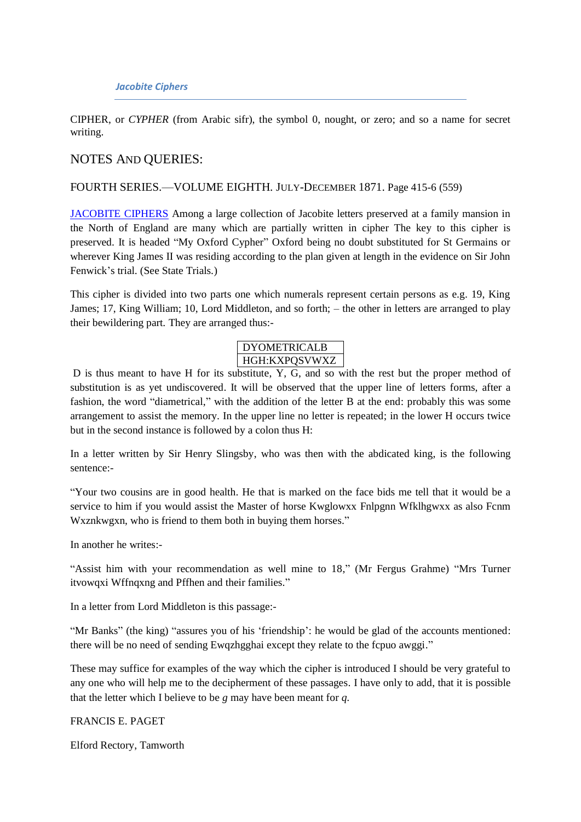CIPHER, or *CYPHER* (from Arabic sifr), the symbol 0, nought, or zero; and so a name for secret writing.

# NOTES AND QUERIES:

### FOURTH SERIES.—VOLUME EIGHTH. JULY-DECEMBER 1871. Page 415-6 (559)

[JACOBITE CIPHERS](http://books.google.com/books?id=TNBAvrxqqx0C&lr=&as_brr=1&pg=PA416#v=onepage&q=&f=false) Among a large collection of Jacobite letters preserved at a family mansion in the North of England are many which are partially written in cipher The key to this cipher is preserved. It is headed "My Oxford Cypher" Oxford being no doubt substituted for St Germains or wherever King James II was residing according to the plan given at length in the evidence on Sir John Fenwick's trial. (See State Trials.)

This cipher is divided into two parts one which numerals represent certain persons as e.g. 19, King James; 17, King William; 10, Lord Middleton, and so forth; – the other in letters are arranged to play their bewildering part. They are arranged thus:-

### DYOMETRICALB HGH:KXPQSVWXZ

D is thus meant to have H for its substitute, Y, G, and so with the rest but the proper method of substitution is as yet undiscovered. It will be observed that the upper line of letters forms, after a fashion, the word "diametrical," with the addition of the letter B at the end: probably this was some arrangement to assist the memory. In the upper line no letter is repeated; in the lower H occurs twice but in the second instance is followed by a colon thus H:

In a letter written by Sir Henry Slingsby, who was then with the abdicated king, is the following sentence:-

"Your two cousins are in good health. He that is marked on the face bids me tell that it would be a service to him if you would assist the Master of horse Kwglowxx Fnlpgnn Wfklhgwxx as also Fcnm Wxznkwgxn, who is friend to them both in buying them horses."

In another he writes:-

"Assist him with your recommendation as well mine to 18," (Mr Fergus Grahme) "Mrs Turner itvowqxi Wffnqxng and Pffhen and their families."

In a letter from Lord Middleton is this passage:-

"Mr Banks" (the king) "assures you of his 'friendship': he would be glad of the accounts mentioned: there will be no need of sending Ewqzhgghai except they relate to the fcpuo awggi."

These may suffice for examples of the way which the cipher is introduced I should be very grateful to any one who will help me to the decipherment of these passages. I have only to add, that it is possible that the letter which I believe to be *g* may have been meant for *q.*

FRANCIS E. PAGET

Elford Rectory, Tamworth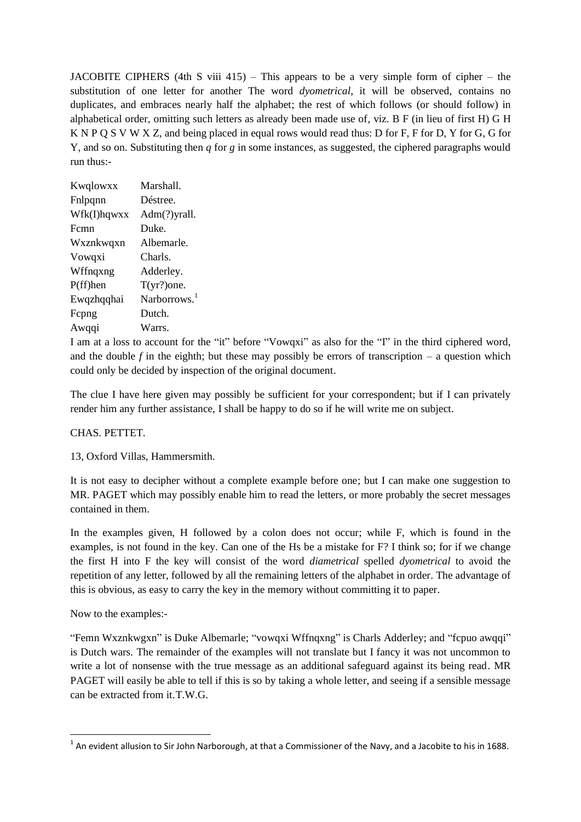JACOBITE CIPHERS (4th S viii 415) – This appears to be a very simple form of cipher – the substitution of one letter for another The word *dyometrical*, it will be observed, contains no duplicates, and embraces nearly half the alphabet; the rest of which follows (or should follow) in alphabetical order, omitting such letters as already been made use of, viz. B F (in lieu of first H) G H K N P Q S V W X Z, and being placed in equal rows would read thus: D for F, F for D, Y for G, G for Y, and so on. Substituting then *q* for *g* in some instances, as suggested, the ciphered paragraphs would run thus:-

| Kwqlowxx    | Marshall.       |
|-------------|-----------------|
| Fnlpqnn     | Déstree.        |
| Wfk(I)hqwxx | Adm(?)yrall.    |
| Fcmn        | Duke.           |
| Wxznkwqxn   | Albemarle.      |
| Vowqxi      | Charls.         |
| Wffnqxng    | Adderley.       |
| $P(ff)$ hen | $T(yr?)$ one.   |
| Ewqzhqqhai  | Narborrows. $1$ |
| Fepng       | Dutch.          |
| Awqqi       | Warrs.          |

I am at a loss to account for the "it" before "Vowqxi" as also for the "I" in the third ciphered word, and the double  $f$  in the eighth; but these may possibly be errors of transcription – a question which could only be decided by inspection of the original document.

The clue I have here given may possibly be sufficient for your correspondent; but if I can privately render him any further assistance, I shall be happy to do so if he will write me on subject.

#### CHAS. PETTET.

13, Oxford Villas, Hammersmith.

It is not easy to decipher without a complete example before one; but I can make one suggestion to MR. PAGET which may possibly enable him to read the letters, or more probably the secret messages contained in them.

In the examples given, H followed by a colon does not occur; while F, which is found in the examples, is not found in the key. Can one of the Hs be a mistake for F? I think so; for if we change the first H into F the key will consist of the word *diametrical* spelled *dyometrical* to avoid the repetition of any letter, followed by all the remaining letters of the alphabet in order. The advantage of this is obvious, as easy to carry the key in the memory without committing it to paper.

Now to the examples:-

"Femn Wxznkwgxn" is Duke Albemarle; "vowqxi Wffnqxng" is Charls Adderley; and "fcpuo awqqi" is Dutch wars. The remainder of the examples will not translate but I fancy it was not uncommon to write a lot of nonsense with the true message as an additional safeguard against its being read. MR PAGET will easily be able to tell if this is so by taking a whole letter, and seeing if a sensible message can be extracted from it.T.W.G.

 1 An evident allusion to Sir John Narborough, at that a Commissioner of the Navy, and a Jacobite to his in 1688.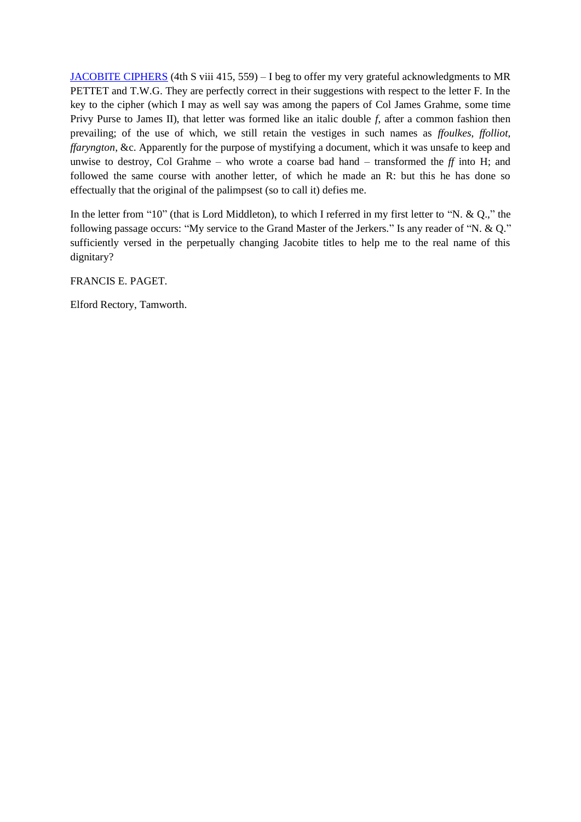[JACOBITE CIPHERS](http://books.google.com/books?id=htoEAAAAYAAJ&pg=PA79&img=1&zoom=3&hl=en&sig=ACfU3U0pU5y0d_1aliekMziYKFEuGY1fPg&ci=18%2C573%2C400%2C545&edge=0) (4th S viii 415, 559) – I beg to offer my very grateful acknowledgments to MR PETTET and T.W.G. They are perfectly correct in their suggestions with respect to the letter F. In the key to the cipher (which I may as well say was among the papers of Col James Grahme, some time Privy Purse to James II), that letter was formed like an italic double *f*, after a common fashion then prevailing; of the use of which, we still retain the vestiges in such names as *ffoulkes*, *ffolliot*, *ffaryngton*, &c. Apparently for the purpose of mystifying a document, which it was unsafe to keep and unwise to destroy, Col Grahme – who wrote a coarse bad hand – transformed the *ff* into H; and followed the same course with another letter, of which he made an R: but this he has done so effectually that the original of the palimpsest (so to call it) defies me.

In the letter from "10" (that is Lord Middleton), to which I referred in my first letter to "N. & Q.," the following passage occurs: "My service to the Grand Master of the Jerkers." Is any reader of "N. & Q." sufficiently versed in the perpetually changing Jacobite titles to help me to the real name of this dignitary?

FRANCIS E. PAGET.

Elford Rectory, Tamworth.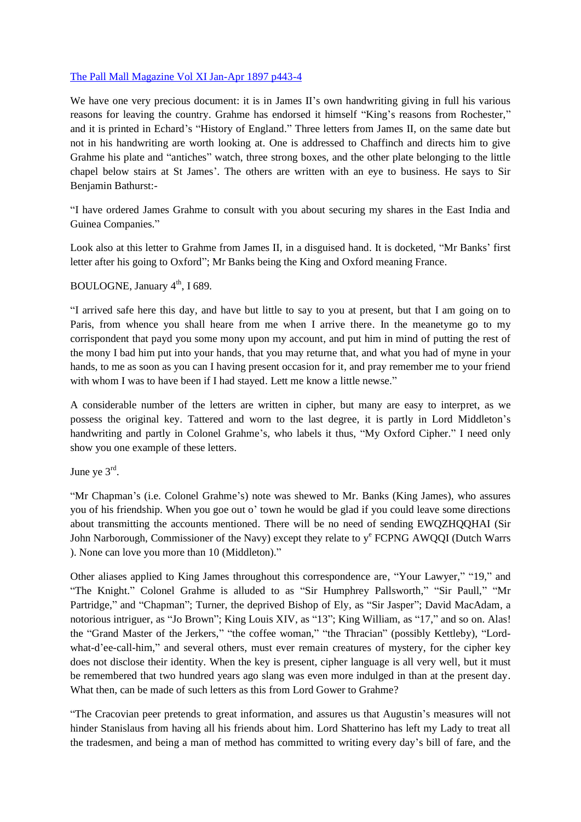# [The Pall Mall Magazine Vol XI Jan-Apr 1897 p443-4](http://books.google.com/books?id=iqPQAAAAMAAJ&pg=PA444&img=1&zoom=3&hl=en&sig=ACfU3U2DTA5ab-nxgnb7wDbkC6XncHONNQ&ci=97%2C103%2C826%2C1238&edge=0)

We have one very precious document: it is in James II's own handwriting giving in full his various reasons for leaving the country. Grahme has endorsed it himself "King's reasons from Rochester," and it is printed in Echard's "History of England." Three letters from James II, on the same date but not in his handwriting are worth looking at. One is addressed to Chaffinch and directs him to give Grahme his plate and "antiches" watch, three strong boxes, and the other plate belonging to the little chapel below stairs at St James'. The others are written with an eye to business. He says to Sir Benjamin Bathurst:-

"I have ordered James Grahme to consult with you about securing my shares in the East India and Guinea Companies."

Look also at this letter to Grahme from James II, in a disguised hand. It is docketed, "Mr Banks' first letter after his going to Oxford"; Mr Banks being the King and Oxford meaning France.

# BOULOGNE, January 4<sup>th</sup>, I 689.

"I arrived safe here this day, and have but little to say to you at present, but that I am going on to Paris, from whence you shall heare from me when I arrive there. In the meanetyme go to my corrispondent that payd you some mony upon my account, and put him in mind of putting the rest of the mony I bad him put into your hands, that you may returne that, and what you had of myne in your hands, to me as soon as you can I having present occasion for it, and pray remember me to your friend with whom I was to have been if I had stayed. Lett me know a little newse."

A considerable number of the letters are written in cipher, but many are easy to interpret, as we possess the original key. Tattered and worn to the last degree, it is partly in Lord Middleton's handwriting and partly in Colonel Grahme's, who labels it thus, "My Oxford Cipher." I need only show you one example of these letters.

June ye  $3^{\text{rd}}$ .

"Mr Chapman's (i.e. Colonel Grahme's) note was shewed to Mr. Banks (King James), who assures you of his friendship. When you goe out o' town he would be glad if you could leave some directions about transmitting the accounts mentioned. There will be no need of sending EWQZHQQHAI (Sir John Narborough, Commissioner of the Navy) except they relate to y<sup>e</sup> FCPNG AWQQI (Dutch Warrs ). None can love you more than 10 (Middleton)."

Other aliases applied to King James throughout this correspondence are, "Your Lawyer," "19," and "The Knight." Colonel Grahme is alluded to as "Sir Humphrey Pallsworth," "Sir Paull," "Mr Partridge," and "Chapman"; Turner, the deprived Bishop of Ely, as "Sir Jasper"; David MacAdam, a notorious intriguer, as "Jo Brown"; King Louis XIV, as "13"; King William, as "17," and so on. Alas! the "Grand Master of the Jerkers," "the coffee woman," "the Thracian" (possibly Kettleby), "Lordwhat-d'ee-call-him," and several others, must ever remain creatures of mystery, for the cipher key does not disclose their identity. When the key is present, cipher language is all very well, but it must be remembered that two hundred years ago slang was even more indulged in than at the present day. What then, can be made of such letters as this from Lord Gower to Grahme?

"The Cracovian peer pretends to great information, and assures us that Augustin's measures will not hinder Stanislaus from having all his friends about him. Lord Shatterino has left my Lady to treat all the tradesmen, and being a man of method has committed to writing every day's bill of fare, and the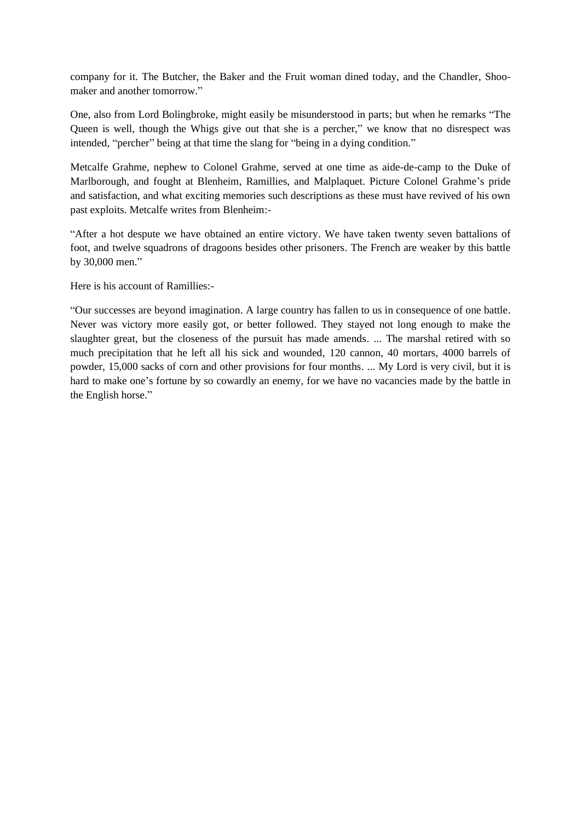company for it. The Butcher, the Baker and the Fruit woman dined today, and the Chandler, Shoomaker and another tomorrow."

One, also from Lord Bolingbroke, might easily be misunderstood in parts; but when he remarks "The Queen is well, though the Whigs give out that she is a percher," we know that no disrespect was intended, "percher" being at that time the slang for "being in a dying condition."

Metcalfe Grahme, nephew to Colonel Grahme, served at one time as aide-de-camp to the Duke of Marlborough, and fought at Blenheim, Ramillies, and Malplaquet. Picture Colonel Grahme's pride and satisfaction, and what exciting memories such descriptions as these must have revived of his own past exploits. Metcalfe writes from Blenheim:-

"After a hot despute we have obtained an entire victory. We have taken twenty seven battalions of foot, and twelve squadrons of dragoons besides other prisoners. The French are weaker by this battle by 30,000 men."

Here is his account of Ramillies:-

"Our successes are beyond imagination. A large country has fallen to us in consequence of one battle. Never was victory more easily got, or better followed. They stayed not long enough to make the slaughter great, but the closeness of the pursuit has made amends. ... The marshal retired with so much precipitation that he left all his sick and wounded, 120 cannon, 40 mortars, 4000 barrels of powder, 15,000 sacks of corn and other provisions for four months. ... My Lord is very civil, but it is hard to make one's fortune by so cowardly an enemy, for we have no vacancies made by the battle in the English horse."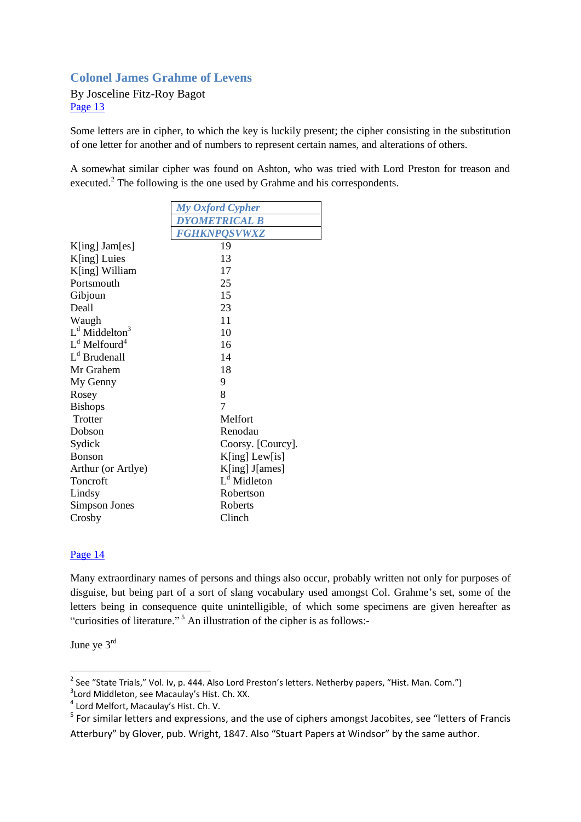# **Colonel James Grahme of Levens**

By Josceline Fitz-Roy Bagot [Page 13](http://books.google.com/books?id=uo0EAAAAYAAJ&pg=PA13&img=1&zoom=3&hl=en&sig=ACfU3U33U5wzTzNUZfBKnNG0GHelD5c9ZA&ci=150%2C369%2C725%2C868&edge=0)

Some letters are in cipher, to which the key is luckily present; the cipher consisting in the substitution of one letter for another and of numbers to represent certain names, and alterations of others.

A somewhat similar cipher was found on Ashton, who was tried with Lord Preston for treason and executed.<sup>2</sup> The following is the one used by Grahme and his correspondents.

|                             | My Oxford Cypher        |  |  |
|-----------------------------|-------------------------|--|--|
|                             | <b>DYOMETRICAL B</b>    |  |  |
|                             | <b>FGHKNPQSVWXZ</b>     |  |  |
| K[ing] Jam[es]              | 19                      |  |  |
| K[ing] Luies                | 13                      |  |  |
| K[ing] William              | 17                      |  |  |
| Portsmouth                  | 25                      |  |  |
| Gibjoun                     | 15                      |  |  |
| Deall                       | 23                      |  |  |
| Waugh                       | 11                      |  |  |
| $Ld$ Middelton <sup>3</sup> | 10                      |  |  |
| $Ld$ Melfourd <sup>4</sup>  | 16                      |  |  |
| L <sup>d</sup> Brudenall    | 14                      |  |  |
| Mr Grahem                   | 18                      |  |  |
| My Genny                    | 9                       |  |  |
| Rosey                       | 8                       |  |  |
| <b>Bishops</b>              | 7                       |  |  |
| Trotter                     | Melfort                 |  |  |
| Dobson                      | Renodau                 |  |  |
| Sydick                      | Coorsy. [Courcy].       |  |  |
| <b>Bonson</b>               | K[ing] Lew[is]          |  |  |
| Arthur (or Artlye)          | K[ing] J[ames]          |  |  |
| Toncroft                    | L <sup>d</sup> Midleton |  |  |
| Lindsy                      | Robertson               |  |  |
| Simpson Jones               | Roberts                 |  |  |
| Crosby                      | Clinch                  |  |  |

#### [Page 14](http://books.google.com/books?id=uo0EAAAAYAAJ&pg=PA14&img=1&zoom=3&hl=en&sig=ACfU3U2JRO3Jrgu_-_gCsapN9o1l38ltjg&ci=148%2C1009%2C736%2C343&edge=0)

Many extraordinary names of persons and things also occur, probably written not only for purposes of disguise, but being part of a sort of slang vocabulary used amongst Col. Grahme's set, some of the letters being in consequence quite unintelligible, of which some specimens are given hereafter as "curiosities of literature." <sup>5</sup> An illustration of the cipher is as follows:-

June ye 3rd

 2 See "State Trials," Vol. Iv, p. 444. Also Lord Preston's letters. Netherby papers, "Hist. Man. Com.")

<sup>&</sup>lt;sup>3</sup> Lord Middleton, see Macaulay's Hist. Ch. XX.

<sup>4</sup> Lord Melfort, Macaulay's Hist. Ch. V.

<sup>&</sup>lt;sup>5</sup> For similar letters and expressions, and the use of ciphers amongst Jacobites, see "letters of Francis Atterbury" by Glover, pub. Wright, 1847. Also "Stuart Papers at Windsor" by the same author.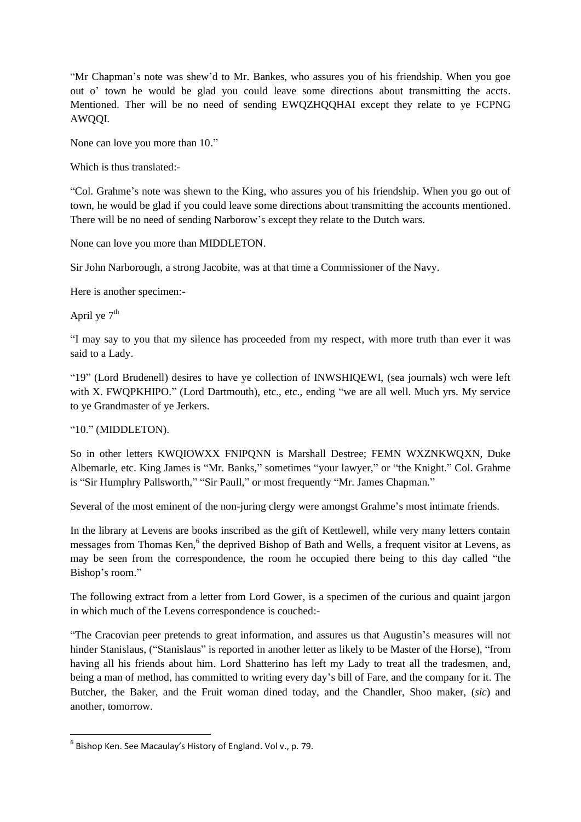"Mr Chapman's note was shew'd to Mr. Bankes, who assures you of his friendship. When you goe out o' town he would be glad you could leave some directions about transmitting the accts. Mentioned. Ther will be no need of sending EWQZHQQHAI except they relate to ye FCPNG AWQQI.

None can love you more than 10."

Which is thus translated:-

"Col. Grahme's note was shewn to the King, who assures you of his friendship. When you go out of town, he would be glad if you could leave some directions about transmitting the accounts mentioned. There will be no need of sending Narborow's except they relate to the Dutch wars.

None can love you more than MIDDLETON.

Sir John Narborough, a strong Jacobite, was at that time a Commissioner of the Navy.

Here is another specimen:-

April ye  $7<sup>th</sup>$ 

"I may say to you that my silence has proceeded from my respect, with more truth than ever it was said to a Lady.

"19" (Lord Brudenell) desires to have ye collection of INWSHIQEWI, (sea journals) wch were left with X. FWOPKHIPO." (Lord Dartmouth), etc., etc., ending "we are all well. Much yrs. My service to ye Grandmaster of ye Jerkers.

"10." (MIDDLETON).

So in other letters KWQIOWXX FNIPQNN is Marshall Destree; FEMN WXZNKWQXN, Duke Albemarle, etc. King James is "Mr. Banks," sometimes "your lawyer," or "the Knight." Col. Grahme is "Sir Humphry Pallsworth," "Sir Paull," or most frequently "Mr. James Chapman."

Several of the most eminent of the non-juring clergy were amongst Grahme's most intimate friends.

In the library at Levens are books inscribed as the gift of Kettlewell, while very many letters contain messages from Thomas Ken,<sup>6</sup> the deprived Bishop of Bath and Wells, a frequent visitor at Levens, as may be seen from the correspondence, the room he occupied there being to this day called "the Bishop's room."

The following extract from a letter from Lord Gower, is a specimen of the curious and quaint jargon in which much of the Levens correspondence is couched:-

"The Cracovian peer pretends to great information, and assures us that Augustin's measures will not hinder Stanislaus, ("Stanislaus" is reported in another letter as likely to be Master of the Horse), "from having all his friends about him. Lord Shatterino has left my Lady to treat all the tradesmen, and, being a man of method, has committed to writing every day's bill of Fare, and the company for it. The Butcher, the Baker, and the Fruit woman dined today, and the Chandler, Shoo maker, (*sic*) and another, tomorrow.

 6 Bishop Ken. See Macaulay's History of England. Vol v., p. 79.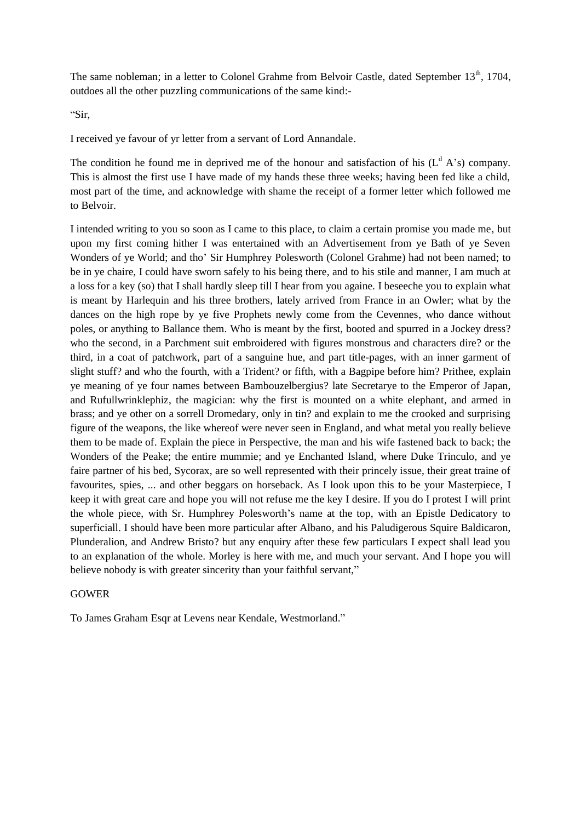The same nobleman; in a letter to Colonel Grahme from Belvoir Castle, dated September  $13<sup>th</sup>$ , 1704, outdoes all the other puzzling communications of the same kind:-

"Sir,

I received ye favour of yr letter from a servant of Lord Annandale.

The condition he found me in deprived me of the honour and satisfaction of his  $(L<sup>d</sup> A's)$  company. This is almost the first use I have made of my hands these three weeks; having been fed like a child, most part of the time, and acknowledge with shame the receipt of a former letter which followed me to Belvoir.

I intended writing to you so soon as I came to this place, to claim a certain promise you made me, but upon my first coming hither I was entertained with an Advertisement from ye Bath of ye Seven Wonders of ye World; and tho' Sir Humphrey Polesworth (Colonel Grahme) had not been named; to be in ye chaire, I could have sworn safely to his being there, and to his stile and manner, I am much at a loss for a key (so) that I shall hardly sleep till I hear from you againe. I beseeche you to explain what is meant by Harlequin and his three brothers, lately arrived from France in an Owler; what by the dances on the high rope by ye five Prophets newly come from the Cevennes, who dance without poles, or anything to Ballance them. Who is meant by the first, booted and spurred in a Jockey dress? who the second, in a Parchment suit embroidered with figures monstrous and characters dire? or the third, in a coat of patchwork, part of a sanguine hue, and part title-pages, with an inner garment of slight stuff? and who the fourth, with a Trident? or fifth, with a Bagpipe before him? Prithee, explain ye meaning of ye four names between Bambouzelbergius? late Secretarye to the Emperor of Japan, and Rufullwrinklephiz, the magician: why the first is mounted on a white elephant, and armed in brass; and ye other on a sorrell Dromedary, only in tin? and explain to me the crooked and surprising figure of the weapons, the like whereof were never seen in England, and what metal you really believe them to be made of. Explain the piece in Perspective, the man and his wife fastened back to back; the Wonders of the Peake; the entire mummie; and ye Enchanted Island, where Duke Trinculo, and ye faire partner of his bed, Sycorax, are so well represented with their princely issue, their great traine of favourites, spies, ... and other beggars on horseback. As I look upon this to be your Masterpiece, I keep it with great care and hope you will not refuse me the key I desire. If you do I protest I will print the whole piece, with Sr. Humphrey Polesworth's name at the top, with an Epistle Dedicatory to superficiall. I should have been more particular after Albano, and his Paludigerous Squire Baldicaron, Plunderalion, and Andrew Bristo? but any enquiry after these few particulars I expect shall lead you to an explanation of the whole. Morley is here with me, and much your servant. And I hope you will believe nobody is with greater sincerity than your faithful servant,"

#### GOWER

To James Graham Esqr at Levens near Kendale, Westmorland."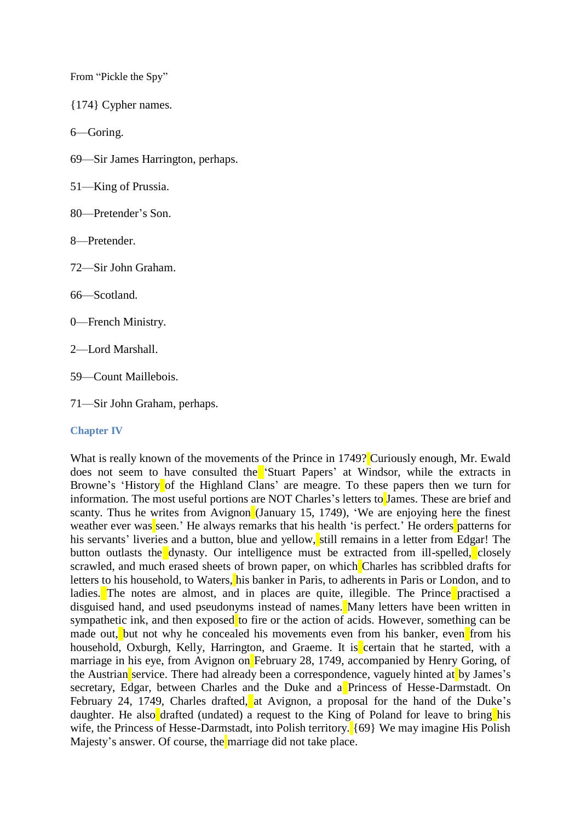From "Pickle the Spy"

{174} Cypher names.

6—Goring.

69—Sir James Harrington, perhaps.

51—King of Prussia.

80—Pretender's Son.

8—Pretender.

72—Sir John Graham.

66—Scotland.

0—French Ministry.

2—Lord Marshall.

59—Count Maillebois.

71—Sir John Graham, perhaps.

#### **Chapter IV**

What is really known of the movements of the Prince in 1749? Curiously enough, Mr. Ewald does not seem to have consulted the 'Stuart Papers' at Windsor, while the extracts in Browne's 'History of the Highland Clans' are meagre. To these papers then we turn for information. The most useful portions are NOT Charles's letters to James. These are brief and scanty. Thus he writes from Avignon (January 15, 1749), 'We are enjoying here the finest weather ever was seen.' He always remarks that his health 'is perfect.' He orders patterns for his servants' liveries and a button, blue and yellow, still remains in a letter from Edgar! The button outlasts the dynasty. Our intelligence must be extracted from ill-spelled, closely scrawled, and much erased sheets of brown paper, on which Charles has scribbled drafts for letters to his household, to Waters, his banker in Paris, to adherents in Paris or London, and to ladies. The notes are almost, and in places are quite, illegible. The Prince practised a disguised hand, and used pseudonyms instead of names. Many letters have been written in sympathetic ink, and then exposed to fire or the action of acids. However, something can be made out, but not why he concealed his movements even from his banker, even from his household, Oxburgh, Kelly, Harrington, and Graeme. It is certain that he started, with a marriage in his eye, from Avignon on February 28, 1749, accompanied by Henry Goring, of the Austrian service. There had already been a correspondence, vaguely hinted at by James's secretary, Edgar, between Charles and the Duke and a Princess of Hesse-Darmstadt. On February 24, 1749, Charles drafted, at Avignon, a proposal for the hand of the Duke's daughter. He also drafted (undated) a request to the King of Poland for leave to bring his wife, the Princess of Hesse-Darmstadt, into Polish territory. {69} We may imagine His Polish Majesty's answer. Of course, the marriage did not take place.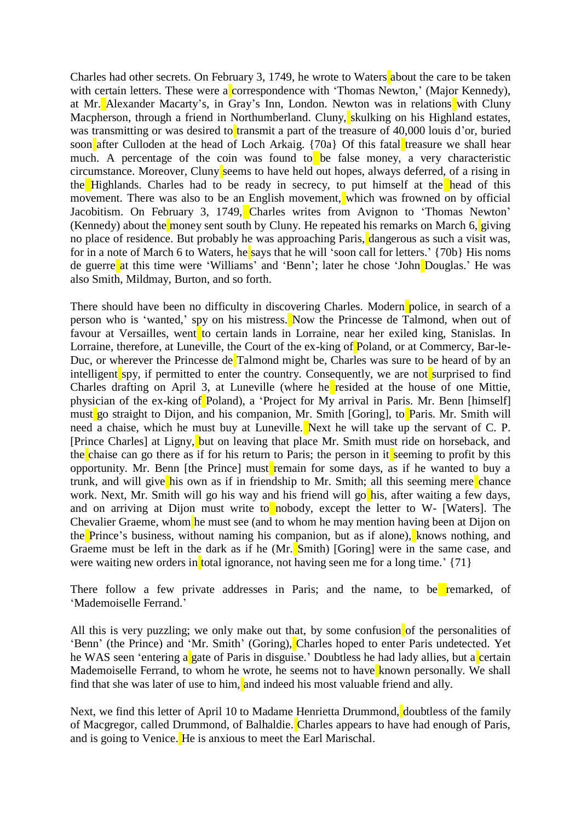Charles had other secrets. On February 3, 1749, he wrote to Waters about the care to be taken with certain letters. These were a correspondence with 'Thomas Newton,' (Major Kennedy), at Mr. Alexander Macarty's, in Gray's Inn, London. Newton was in relations with Cluny Macpherson, through a friend in Northumberland. Cluny, skulking on his Highland estates, was transmitting or was desired to transmit a part of the treasure of  $40,000$  louis d'or, buried soon after Culloden at the head of Loch Arkaig.  $\{70a\}$  Of this fatal treasure we shall hear much. A percentage of the coin was found to be false money, a very characteristic circumstance. Moreover, Cluny seems to have held out hopes, always deferred, of a rising in the Highlands. Charles had to be ready in secrecy, to put himself at the head of this movement. There was also to be an English movement, which was frowned on by official Jacobitism. On February 3, 1749, Charles writes from Avignon to 'Thomas Newton' (Kennedy) about the money sent south by Cluny. He repeated his remarks on March  $6$ , giving no place of residence. But probably he was approaching Paris, dangerous as such a visit was, for in a note of March 6 to Waters, he says that he will 'soon call for letters.' {70b} His noms de guerre at this time were 'Williams' and 'Benn'; later he chose 'John Douglas.' He was also Smith, Mildmay, Burton, and so forth.

There should have been no difficulty in discovering Charles. Modern police, in search of a person who is 'wanted,' spy on his mistress. Now the Princesse de Talmond, when out of favour at Versailles, went to certain lands in Lorraine, near her exiled king, Stanislas. In Lorraine, therefore, at Luneville, the Court of the ex-king of Poland, or at Commercy, Bar-le-Duc, or wherever the Princesse de Talmond might be, Charles was sure to be heard of by an intelligent spy, if permitted to enter the country. Consequently, we are not surprised to find Charles drafting on April 3, at Luneville (where he resided at the house of one Mittie, physician of the ex-king of Poland), a 'Project for My arrival in Paris. Mr. Benn [himself] must go straight to Dijon, and his companion, Mr. Smith [Goring], to Paris. Mr. Smith will need a chaise, which he must buy at Luneville. Next he will take up the servant of C. P. [Prince Charles] at Ligny, but on leaving that place Mr. Smith must ride on horseback, and the chaise can go there as if for his return to Paris; the person in it seeming to profit by this opportunity. Mr. Benn [the Prince] must remain for some days, as if he wanted to buy a trunk, and will give his own as if in friendship to Mr. Smith; all this seeming mere chance work. Next, Mr. Smith will go his way and his friend will go his, after waiting a few days, and on arriving at Dijon must write to nobody, except the letter to W- [Waters]. The Chevalier Graeme, whom he must see (and to whom he may mention having been at Dijon on the Prince's business, without naming his companion, but as if alone), knows nothing, and Graeme must be left in the dark as if he (Mr. Smith) [Goring] were in the same case, and were waiting new orders in total ignorance, not having seen me for a long time.'  $\{71\}$ 

There follow a few private addresses in Paris; and the name, to be remarked, of 'Mademoiselle Ferrand.'

All this is very puzzling; we only make out that, by some confusion of the personalities of 'Benn' (the Prince) and 'Mr. Smith' (Goring), Charles hoped to enter Paris undetected. Yet he WAS seen 'entering a gate of Paris in disguise.' Doubtless he had lady allies, but a certain Mademoiselle Ferrand, to whom he wrote, he seems not to have known personally. We shall find that she was later of use to him, and indeed his most valuable friend and ally.

Next, we find this letter of April 10 to Madame Henrietta Drummond, doubtless of the family of Macgregor, called Drummond, of Balhaldie. Charles appears to have had enough of Paris, and is going to Venice. He is anxious to meet the Earl Marischal.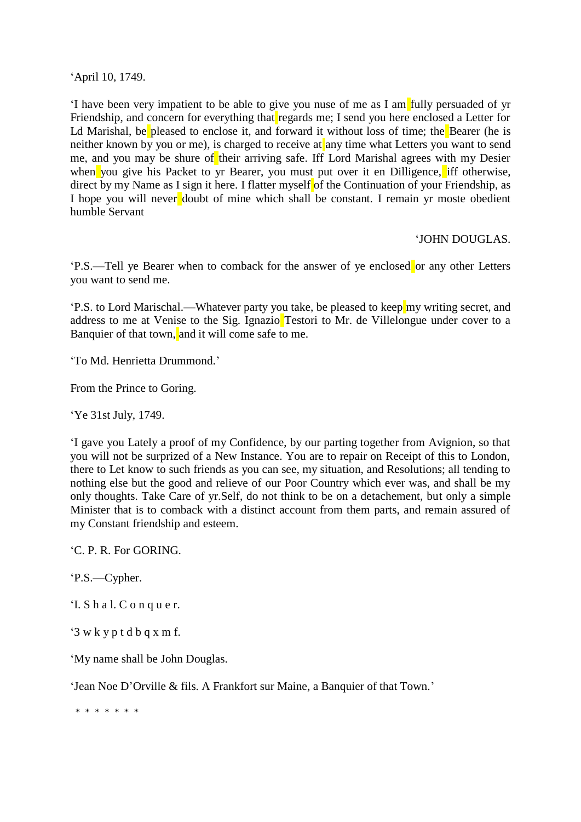'April 10, 1749.

'I have been very impatient to be able to give you nuse of me as I am fully persuaded of yr Friendship, and concern for everything that regards me; I send you here enclosed a Letter for Ld Marishal, be pleased to enclose it, and forward it without loss of time; the Bearer (he is neither known by you or me), is charged to receive at any time what Letters you want to send me, and you may be shure of their arriving safe. Iff Lord Marishal agrees with my Desier when you give his Packet to yr Bearer, you must put over it en Dilligence, iff otherwise, direct by my Name as I sign it here. I flatter myself of the Continuation of your Friendship, as I hope you will never doubt of mine which shall be constant. I remain yr moste obedient humble Servant

# 'JOHN DOUGLAS.

'P.S.—Tell ye Bearer when to comback for the answer of ye enclosed or any other Letters you want to send me.

'P.S. to Lord Marischal.—Whatever party you take, be pleased to keep my writing secret, and address to me at Venise to the Sig. Ignazio Testori to Mr. de Villelongue under cover to a Banquier of that town, and it will come safe to me.

'To Md. Henrietta Drummond.'

From the Prince to Goring.

'Ye 31st July, 1749.

'I gave you Lately a proof of my Confidence, by our parting together from Avignion, so that you will not be surprized of a New Instance. You are to repair on Receipt of this to London, there to Let know to such friends as you can see, my situation, and Resolutions; all tending to nothing else but the good and relieve of our Poor Country which ever was, and shall be my only thoughts. Take Care of yr.Self, do not think to be on a detachement, but only a simple Minister that is to comback with a distinct account from them parts, and remain assured of my Constant friendship and esteem.

'C. P. R. For GORING.

'P.S.—Cypher.

'I. S h a l. C o n q u e r.

'3 w k y p t d b q x m f.

'My name shall be John Douglas.

'Jean Noe D'Orville & fils. A Frankfort sur Maine, a Banquier of that Town.'

\* \* \* \* \* \* \*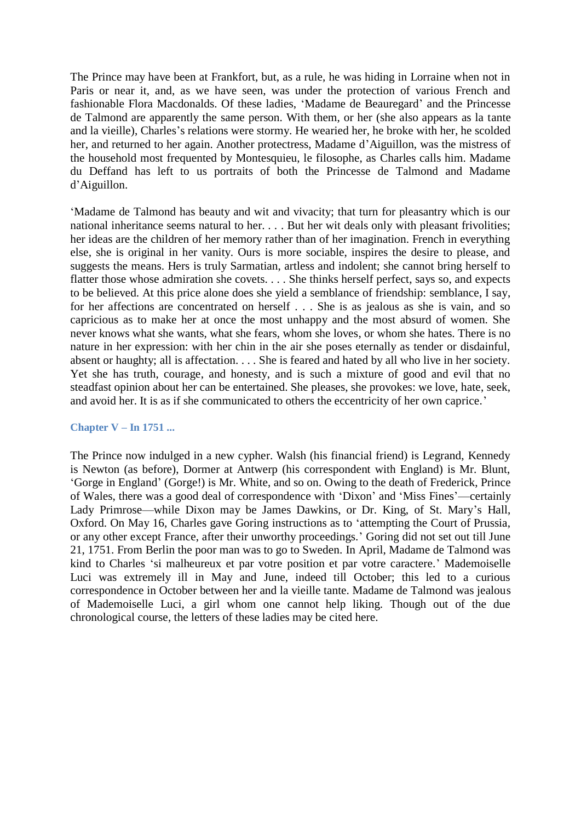The Prince may have been at Frankfort, but, as a rule, he was hiding in Lorraine when not in Paris or near it, and, as we have seen, was under the protection of various French and fashionable Flora Macdonalds. Of these ladies, 'Madame de Beauregard' and the Princesse de Talmond are apparently the same person. With them, or her (she also appears as la tante and la vieille), Charles's relations were stormy. He wearied her, he broke with her, he scolded her, and returned to her again. Another protectress, Madame d'Aiguillon, was the mistress of the household most frequented by Montesquieu, le filosophe, as Charles calls him. Madame du Deffand has left to us portraits of both the Princesse de Talmond and Madame d'Aiguillon.

'Madame de Talmond has beauty and wit and vivacity; that turn for pleasantry which is our national inheritance seems natural to her. . . . But her wit deals only with pleasant frivolities; her ideas are the children of her memory rather than of her imagination. French in everything else, she is original in her vanity. Ours is more sociable, inspires the desire to please, and suggests the means. Hers is truly Sarmatian, artless and indolent; she cannot bring herself to flatter those whose admiration she covets. . . . She thinks herself perfect, says so, and expects to be believed. At this price alone does she yield a semblance of friendship: semblance, I say, for her affections are concentrated on herself . . . She is as jealous as she is vain, and so capricious as to make her at once the most unhappy and the most absurd of women. She never knows what she wants, what she fears, whom she loves, or whom she hates. There is no nature in her expression: with her chin in the air she poses eternally as tender or disdainful, absent or haughty; all is affectation. . . . She is feared and hated by all who live in her society. Yet she has truth, courage, and honesty, and is such a mixture of good and evil that no steadfast opinion about her can be entertained. She pleases, she provokes: we love, hate, seek, and avoid her. It is as if she communicated to others the eccentricity of her own caprice.'

#### **Chapter V – In 1751 ...**

The Prince now indulged in a new cypher. Walsh (his financial friend) is Legrand, Kennedy is Newton (as before), Dormer at Antwerp (his correspondent with England) is Mr. Blunt, 'Gorge in England' (Gorge!) is Mr. White, and so on. Owing to the death of Frederick, Prince of Wales, there was a good deal of correspondence with 'Dixon' and 'Miss Fines'—certainly Lady Primrose—while Dixon may be James Dawkins, or Dr. King, of St. Mary's Hall, Oxford. On May 16, Charles gave Goring instructions as to 'attempting the Court of Prussia, or any other except France, after their unworthy proceedings.' Goring did not set out till June 21, 1751. From Berlin the poor man was to go to Sweden. In April, Madame de Talmond was kind to Charles 'si malheureux et par votre position et par votre caractere.' Mademoiselle Luci was extremely ill in May and June, indeed till October; this led to a curious correspondence in October between her and la vieille tante. Madame de Talmond was jealous of Mademoiselle Luci, a girl whom one cannot help liking. Though out of the due chronological course, the letters of these ladies may be cited here.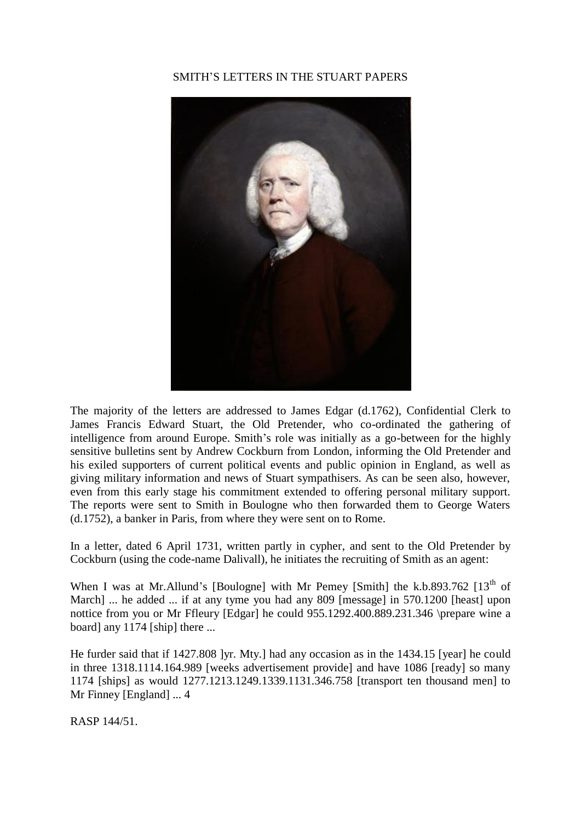# SMITH'S LETTERS IN THE STUART PAPERS



The majority of the letters are addressed to James Edgar (d.1762), Confidential Clerk to James Francis Edward Stuart, the Old Pretender, who co-ordinated the gathering of intelligence from around Europe. Smith's role was initially as a go-between for the highly sensitive bulletins sent by Andrew Cockburn from London, informing the Old Pretender and his exiled supporters of current political events and public opinion in England, as well as giving military information and news of Stuart sympathisers. As can be seen also, however, even from this early stage his commitment extended to offering personal military support. The reports were sent to Smith in Boulogne who then forwarded them to George Waters (d.1752), a banker in Paris, from where they were sent on to Rome.

In a letter, dated 6 April 1731, written partly in cypher, and sent to the Old Pretender by Cockburn (using the code-name Dalivall), he initiates the recruiting of Smith as an agent:

When I was at Mr.Allund's [Boulogne] with Mr Pemey [Smith] the k.b.893.762  $[13<sup>th</sup>$  of March] ... he added ... if at any tyme you had any 809 [message] in 570.1200 [heast] upon nottice from you or Mr Ffleury [Edgar] he could 955.1292.400.889.231.346 \prepare wine a board] any 1174 [ship] there ...

He furder said that if 1427.808 ]yr. Mty.] had any occasion as in the 1434.15 [year] he could in three 1318.1114.164.989 [weeks advertisement provide] and have 1086 [ready] so many 1174 [ships] as would 1277.1213.1249.1339.1131.346.758 [transport ten thousand men] to Mr Finney [England] ... 4

RASP 144/51.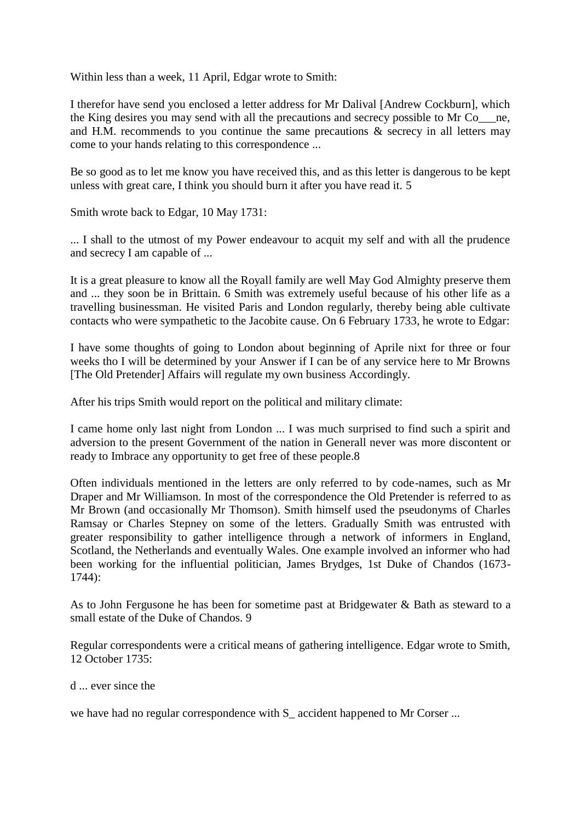Within less than a week, 11 April, Edgar wrote to Smith:

I therefor have send you enclosed a letter address for Mr Dalival [Andrew Cockburn], which the King desires you may send with all the precautions and secrecy possible to Mr Co\_\_\_ne, and H.M. recommends to you continue the same precautions & secrecy in all letters may come to your hands relating to this correspondence ...

Be so good as to let me know you have received this, and as this letter is dangerous to be kept unless with great care, I think you should burn it after you have read it. 5

Smith wrote back to Edgar, 10 May 1731:

... I shall to the utmost of my Power endeavour to acquit my self and with all the prudence and secrecy I am capable of ...

It is a great pleasure to know all the Royall family are well May God Almighty preserve them and ... they soon be in Brittain. 6 Smith was extremely useful because of his other life as a travelling businessman. He visited Paris and London regularly, thereby being able cultivate contacts who were sympathetic to the Jacobite cause. On 6 February 1733, he wrote to Edgar:

I have some thoughts of going to London about beginning of Aprile nixt for three or four weeks tho I will be determined by your Answer if I can be of any service here to Mr Browns [The Old Pretender] Affairs will regulate my own business Accordingly.

After his trips Smith would report on the political and military climate:

I came home only last night from London ... I was much surprised to find such a spirit and adversion to the present Government of the nation in Generall never was more discontent or ready to Imbrace any opportunity to get free of these people.8

Often individuals mentioned in the letters are only referred to by code-names, such as Mr Draper and Mr Williamson. In most of the correspondence the Old Pretender is referred to as Mr Brown (and occasionally Mr Thomson). Smith himself used the pseudonyms of Charles Ramsay or Charles Stepney on some of the letters. Gradually Smith was entrusted with greater responsibility to gather intelligence through a network of informers in England, Scotland, the Netherlands and eventually Wales. One example involved an informer who had been working for the influential politician, James Brydges, 1st Duke of Chandos (1673- 1744):

As to John Fergusone he has been for sometime past at Bridgewater & Bath as steward to a small estate of the Duke of Chandos. 9

Regular correspondents were a critical means of gathering intelligence. Edgar wrote to Smith, 12 October 1735:

d ... ever since the

we have had no regular correspondence with  $S_$  accident happened to Mr Corser ...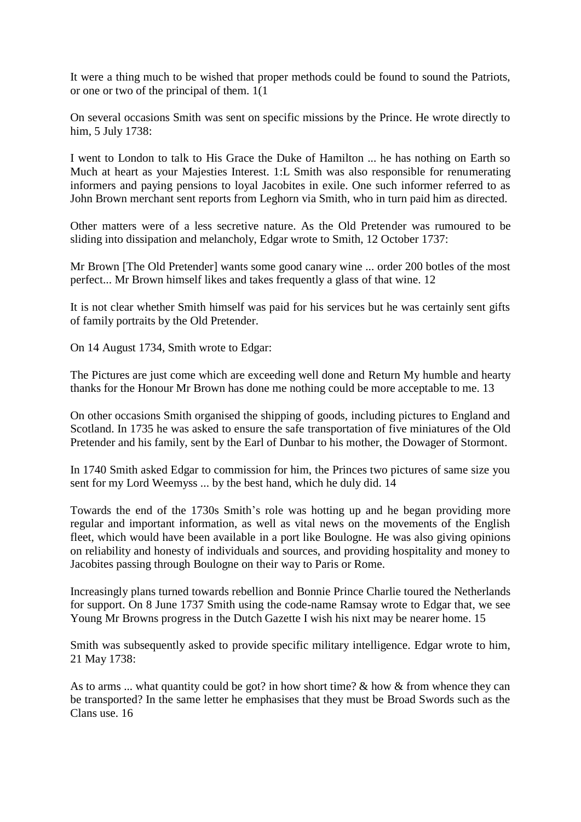It were a thing much to be wished that proper methods could be found to sound the Patriots, or one or two of the principal of them. 1(1

On several occasions Smith was sent on specific missions by the Prince. He wrote directly to him, 5 July 1738:

I went to London to talk to His Grace the Duke of Hamilton ... he has nothing on Earth so Much at heart as your Majesties Interest. 1:L Smith was also responsible for renumerating informers and paying pensions to loyal Jacobites in exile. One such informer referred to as John Brown merchant sent reports from Leghorn via Smith, who in turn paid him as directed.

Other matters were of a less secretive nature. As the Old Pretender was rumoured to be sliding into dissipation and melancholy, Edgar wrote to Smith, 12 October 1737:

Mr Brown [The Old Pretender] wants some good canary wine ... order 200 botles of the most perfect... Mr Brown himself likes and takes frequently a glass of that wine. 12

It is not clear whether Smith himself was paid for his services but he was certainly sent gifts of family portraits by the Old Pretender.

On 14 August 1734, Smith wrote to Edgar:

The Pictures are just come which are exceeding well done and Return My humble and hearty thanks for the Honour Mr Brown has done me nothing could be more acceptable to me. 13

On other occasions Smith organised the shipping of goods, including pictures to England and Scotland. In 1735 he was asked to ensure the safe transportation of five miniatures of the Old Pretender and his family, sent by the Earl of Dunbar to his mother, the Dowager of Stormont.

In 1740 Smith asked Edgar to commission for him, the Princes two pictures of same size you sent for my Lord Weemyss ... by the best hand, which he duly did. 14

Towards the end of the 1730s Smith's role was hotting up and he began providing more regular and important information, as well as vital news on the movements of the English fleet, which would have been available in a port like Boulogne. He was also giving opinions on reliability and honesty of individuals and sources, and providing hospitality and money to Jacobites passing through Boulogne on their way to Paris or Rome.

Increasingly plans turned towards rebellion and Bonnie Prince Charlie toured the Netherlands for support. On 8 June 1737 Smith using the code-name Ramsay wrote to Edgar that, we see Young Mr Browns progress in the Dutch Gazette I wish his nixt may be nearer home. 15

Smith was subsequently asked to provide specific military intelligence. Edgar wrote to him, 21 May 1738:

As to arms ... what quantity could be got? in how short time? & how & from whence they can be transported? In the same letter he emphasises that they must be Broad Swords such as the Clans use. 16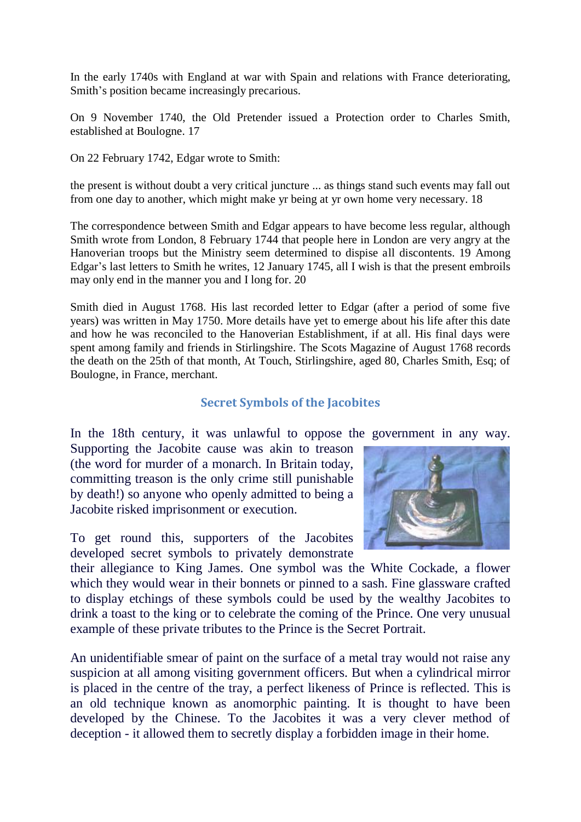In the early 1740s with England at war with Spain and relations with France deteriorating, Smith's position became increasingly precarious.

On 9 November 1740, the Old Pretender issued a Protection order to Charles Smith, established at Boulogne. 17

On 22 February 1742, Edgar wrote to Smith:

the present is without doubt a very critical juncture ... as things stand such events may fall out from one day to another, which might make yr being at yr own home very necessary. 18

The correspondence between Smith and Edgar appears to have become less regular, although Smith wrote from London, 8 February 1744 that people here in London are very angry at the Hanoverian troops but the Ministry seem determined to dispise all discontents. 19 Among Edgar's last letters to Smith he writes, 12 January 1745, all I wish is that the present embroils may only end in the manner you and I long for. 20

Smith died in August 1768. His last recorded letter to Edgar (after a period of some five years) was written in May 1750. More details have yet to emerge about his life after this date and how he was reconciled to the Hanoverian Establishment, if at all. His final days were spent among family and friends in Stirlingshire. The Scots Magazine of August 1768 records the death on the 25th of that month, At Touch, Stirlingshire, aged 80, Charles Smith, Esq; of Boulogne, in France, merchant.

# **Secret Symbols of the Jacobites**

In the 18th century, it was unlawful to oppose the government in any way.

Supporting the Jacobite cause was akin to treason (the word for murder of a monarch. In Britain today, committing treason is the only crime still punishable by death!) so anyone who openly admitted to being a Jacobite risked imprisonment or execution.

To get round this, supporters of the Jacobites developed secret symbols to privately demonstrate



their allegiance to King James. One symbol was the White Cockade, a flower which they would wear in their bonnets or pinned to a sash. Fine glassware crafted to display etchings of these symbols could be used by the wealthy Jacobites to drink a toast to the king or to celebrate the coming of the Prince. One very unusual example of these private tributes to the Prince is the Secret Portrait.

An unidentifiable smear of paint on the surface of a metal tray would not raise any suspicion at all among visiting government officers. But when a cylindrical mirror is placed in the centre of the tray, a perfect likeness of Prince is reflected. This is an old technique known as anomorphic painting. It is thought to have been developed by the Chinese. To the Jacobites it was a very clever method of deception - it allowed them to secretly display a forbidden image in their home.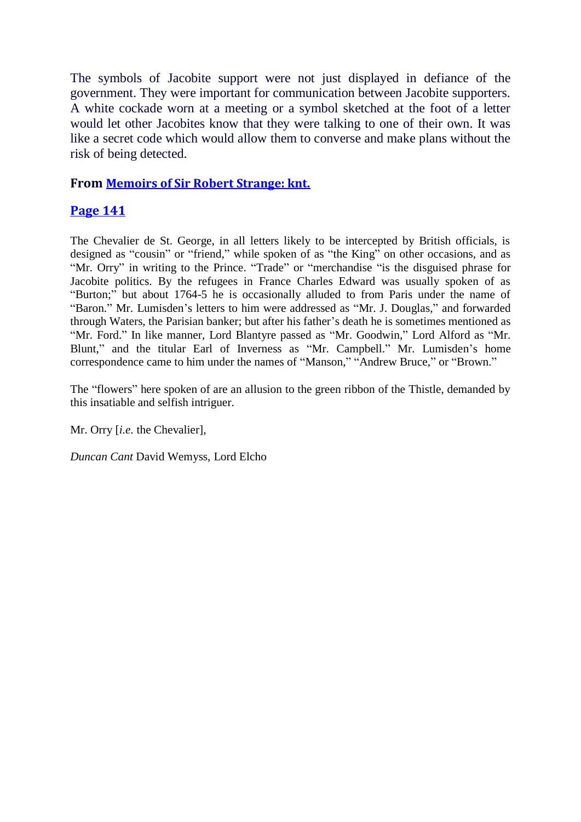The symbols of Jacobite support were not just displayed in defiance of the government. They were important for communication between Jacobite supporters. A white cockade worn at a meeting or a symbol sketched at the foot of a letter would let other Jacobites know that they were talking to one of their own. It was like a secret code which would allow them to converse and make plans without the risk of being detected.

# **From [Memoirs of Sir Robert Strange: knt.](http://books.google.com/books?id=1qQ5AAAAMAAJ&printsec=frontcover)**

# **[Page 141](http://books.google.com/books?id=1qQ5AAAAMAAJ&dq=Memoirs%20of%20Sir%20Robert%20Strange%20Andrew%20Lumisden&pg=PA141#v=onepage&q&f=false)**

The Chevalier de St. George, in all letters likely to be intercepted by British officials, is designed as "cousin" or "friend," while spoken of as "the King" on other occasions, and as "Mr. Orry" in writing to the Prince. "Trade" or "merchandise "is the disguised phrase for Jacobite politics. By the refugees in France Charles Edward was usually spoken of as "Burton;" but about 1764-5 he is occasionally alluded to from Paris under the name of "Baron." Mr. Lumisden's letters to him were addressed as "Mr. J. Douglas," and forwarded through Waters, the Parisian banker; but after his father's death he is sometimes mentioned as "Mr. Ford." In like manner, Lord Blantyre passed as "Mr. Goodwin," Lord Alford as "Mr. Blunt," and the titular Earl of Inverness as "Mr. Campbell." Mr. Lumisden's home correspondence came to him under the names of "Manson," "Andrew Bruce," or "Brown."

The "flowers" here spoken of are an allusion to the green ribbon of the Thistle, demanded by this insatiable and selfish intriguer.

Mr. Orry [*i.e.* the Chevalier],

*Duncan Cant* David Wemyss, Lord Elcho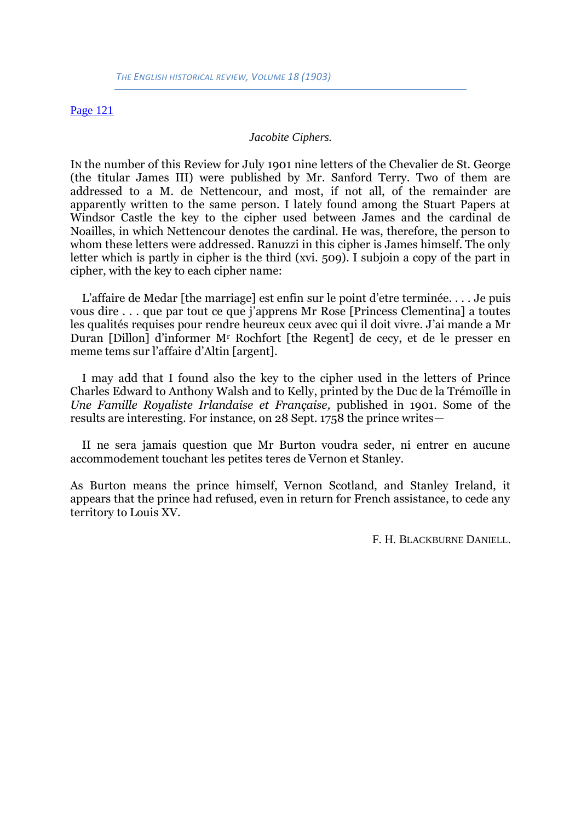#### [Page](http://books.google.com/books?id=Hn4QAAAAYAAJ&lpg=PA121&ots=S_dUiIR1KG&dq=jacobite%20ciphers&pg=PA121#v=onepage&q&f=false) 121

#### *Jacobite Ciphers.*

IN the number of this Review for July 1901 nine letters of the Chevalier de St. George (the titular James III) were published by Mr. Sanford Terry. Two of them are addressed to a M. de Nettencour, and most, if not all, of the remainder are apparently written to the same person. I lately found among the Stuart Papers at Windsor Castle the key to the cipher used between James and the cardinal de Noailles, in which Nettencour denotes the cardinal. He was, therefore, the person to whom these letters were addressed. Ranuzzi in this cipher is James himself. The only letter which is partly in cipher is the third (xvi. 509). I subjoin a copy of the part in cipher, with the key to each cipher name:

L'affaire de Medar [the marriage] est enfin sur le point d'etre terminée. . . . Je puis vous dire . . . que par tout ce que j'apprens Mr Rose [Princess Clementina] a toutes les qualités requises pour rendre heureux ceux avec qui il doit vivre. J'ai mande a Mr Duran [Dillon] d'informer M<sup>r</sup> Rochfort [the Regent] de cecy, et de le presser en meme tems sur l'affaire d'Altin [argent].

I may add that I found also the key to the cipher used in the letters of Prince Charles Edward to Anthony Walsh and to Kelly, printed by the Duc de la Trémoïlle in *Une Famille Royaliste Irlandaise et Française,* published in 1901. Some of the results are interesting. For instance, on 28 Sept. 1758 the prince writes—

II ne sera jamais question que Mr Burton voudra seder, ni entrer en aucune accommodement touchant les petites teres de Vernon et Stanley.

As Burton means the prince himself, Vernon Scotland, and Stanley Ireland, it appears that the prince had refused, even in return for French assistance, to cede any territory to Louis XV.

F. H. BLACKBURNE DANIELL.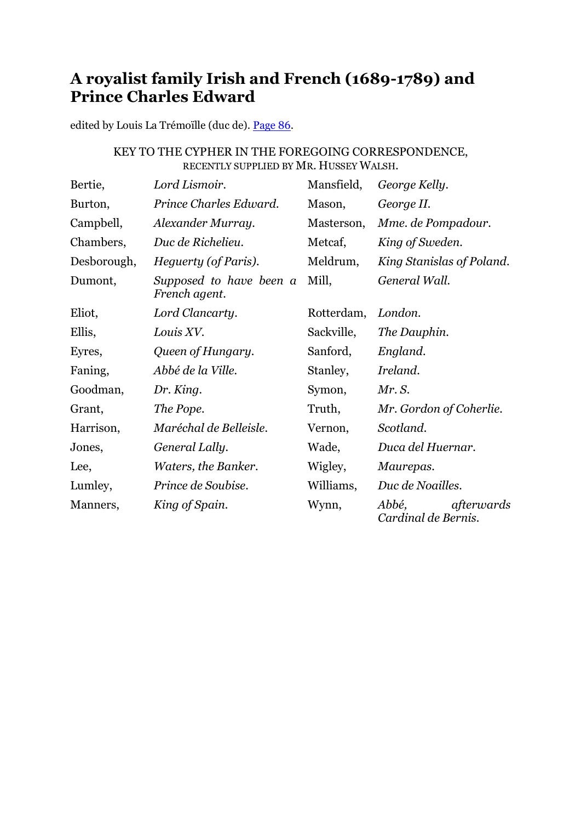# **A royalist family Irish and French (1689-1789) and Prince Charles Edward**

edited by Louis La Trémoïlle (duc de). [Page 86.](http://books.google.com/books?id=dRcMAAAAYAAJ&dq=royalist%20family%20irish%20french&pg=PA86#v=onepage&q&f=false)

# KEY TO THE CYPHER IN THE FOREGOING CORRESPONDENCE, RECENTLY SUPPLIED BY MR. HUSSEY WALSH.

| Bertie,     | Lord Lismoir.                            | Mansfield, | George Kelly.                              |
|-------------|------------------------------------------|------------|--------------------------------------------|
| Burton,     | Prince Charles Edward.                   | Mason,     | George II.                                 |
| Campbell,   | Alexander Murray.                        | Masterson, | Mme. de Pompadour.                         |
| Chambers,   | Duc de Richelieu.                        | Metcaf,    | King of Sweden.                            |
| Desborough, | Heguerty (of Paris).                     | Meldrum,   | King Stanislas of Poland.                  |
| Dumont,     | Supposed to have been a<br>French agent. | Mill,      | General Wall.                              |
| Eliot,      | Lord Clancarty.                          | Rotterdam, | London.                                    |
| Ellis,      | Louis XV.                                | Sackville, | The Dauphin.                               |
| Eyres,      | Queen of Hungary.                        | Sanford,   | England.                                   |
| Faning,     | Abbé de la Ville.                        | Stanley,   | Ireland.                                   |
| Goodman,    | Dr. King.                                | Symon,     | Mr. S.                                     |
| Grant,      | The Pope.                                | Truth,     | Mr. Gordon of Coherlie.                    |
| Harrison,   | Maréchal de Belleisle.                   | Vernon,    | Scotland.                                  |
| Jones,      | General Lally.                           | Wade,      | Duca del Huernar.                          |
| Lee,        | Waters, the Banker.                      | Wigley,    | Maurepas.                                  |
| Lumley,     | Prince de Soubise.                       | Williams,  | Duc de Noailles.                           |
| Manners,    | King of Spain.                           | Wynn,      | Abbé,<br>afterwards<br>Cardinal de Bernis. |